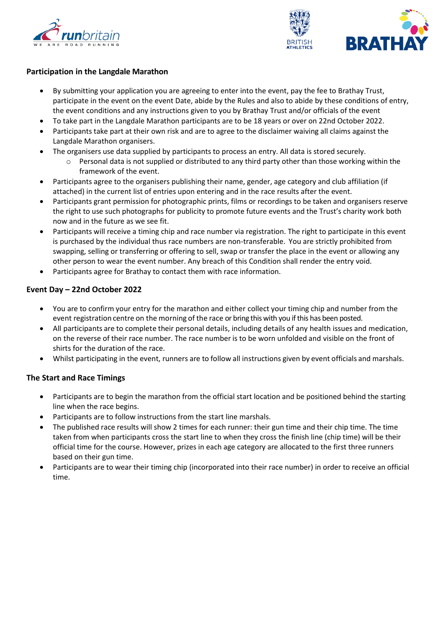



#### **Participation in the Langdale Marathon**

- By submitting your application you are agreeing to enter into the event, pay the fee to Brathay Trust, participate in the event on the event Date, abide by the Rules and also to abide by these conditions of entry, the event conditions and any instructions given to you by Brathay Trust and/or officials of the event
- To take part in the Langdale Marathon participants are to be 18 years or over on 22nd October 2022.
- Participants take part at their own risk and are to agree to the disclaimer waiving all claims against the Langdale Marathon organisers.
- The organisers use data supplied by participants to process an entry. All data is stored securely.
	- $\circ$  Personal data is not supplied or distributed to any third party other than those working within the framework of the event.
- Participants agree to the organisers publishing their name, gender, age category and club affiliation (if attached) in the current list of entries upon entering and in the race results after the event.
- Participants grant permission for photographic prints, films or recordings to be taken and organisers reserve the right to use such photographs for publicity to promote future events and the Trust's charity work both now and in the future as we see fit.
- Participants will receive a timing chip and race number via registration. The right to participate in this event is purchased by the individual thus race numbers are non-transferable. You are strictly prohibited from swapping, selling or transferring or offering to sell, swap or transfer the place in the event or allowing any other person to wear the event number. Any breach of this Condition shall render the entry void.
- Participants agree for Brathay to contact them with race information.

# **Event Day – 22nd October 2022**

- You are to confirm your entry for the marathon and either collect your timing chip and number from the event registration centre on the morning of the race or bring this with you if this has been posted.
- All participants are to complete their personal details, including details of any health issues and medication, on the reverse of their race number. The race number is to be worn unfolded and visible on the front of shirts for the duration of the race.
- Whilst participating in the event, runners are to follow all instructions given by event officials and marshals.

# **The Start and Race Timings**

- Participants are to begin the marathon from the official start location and be positioned behind the starting line when the race begins.
- Participants are to follow instructions from the start line marshals.
- The published race results will show 2 times for each runner: their gun time and their chip time. The time taken from when participants cross the start line to when they cross the finish line (chip time) will be their official time for the course. However, prizes in each age category are allocated to the first three runners based on their gun time.
- Participants are to wear their timing chip (incorporated into their race number) in order to receive an official time.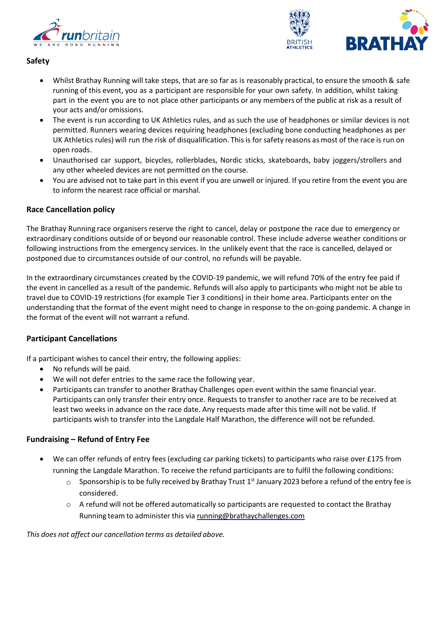



# **Safety**

- Whilst Brathay Running will take steps, that are so far as is reasonably practical, to ensure the smooth & safe running of this event, you as a participant are responsible for your own safety. In addition, whilst taking part in the event you are to not place other participants or any members of the public at risk as a result of your acts and/or omissions.
- The event is run according to UK Athletics rules, and as such the use of headphones or similar devices is not permitted. Runners wearing devices requiring headphones (excluding bone conducting headphones as per UK Athletics rules) will run the risk of disqualification. This is for safety reasons as most of the race is run on open roads.
- Unauthorised car support, bicycles, rollerblades, Nordic sticks, skateboards, baby joggers/strollers and any other wheeled devices are not permitted on the course.
- You are advised not to take part in this event if you are unwell or injured. If you retire from the event you are to inform the nearest race official or marshal.

# **Race Cancellation policy**

The Brathay Running race organisers reserve the right to cancel, delay or postpone the race due to emergency or extraordinary conditions outside of or beyond our reasonable control. These include adverse weather conditions or following instructions from the emergency services. In the unlikely event that the race is cancelled, delayed or postponed due to circumstances outside of our control, no refunds will be payable.

In the extraordinary circumstances created by the COVID-19 pandemic, we will refund 70% of the entry fee paid if the event in cancelled as a result of the pandemic. Refunds will also apply to participants who might not be able to travel due to COVID-19 restrictions (for example Tier 3 conditions) in their home area. Participants enter on the understanding that the format of the event might need to change in response to the on-going pandemic. A change in the format of the event will not warrant a refund.

# **Participant Cancellations**

If a participant wishes to cancel their entry, the following applies:

- No refunds will be paid.
- We will not defer entries to the same race the following year.
- Participants can transfer to another Brathay Challenges open event within the same financial year. Participants can only transfer their entry once. Requests to transfer to another race are to be received at least two weeks in advance on the race date. Any requests made after this time will not be valid. If participants wish to transfer into the Langdale Half Marathon, the difference will not be refunded.

# **Fundraising – Refund of Entry Fee**

- We can offer refunds of entry fees (excluding car parking tickets) to participants who raise over £175 from running the Langdale Marathon. To receive the refund participants are to fulfil the following conditions:
	- $\circ$  Sponsorship is to be fully received by Brathay Trust 1<sup>st</sup> January 2023 before a refund of the entry fee is considered.
	- $\circ$  A refund will not be offered automatically so participants are requested to contact the Brathay Running team to administer this via [running@brathaychallenges.com](mailto:running@brathaychallenges.com)

*This does not affect our cancellation terms as detailed above.*